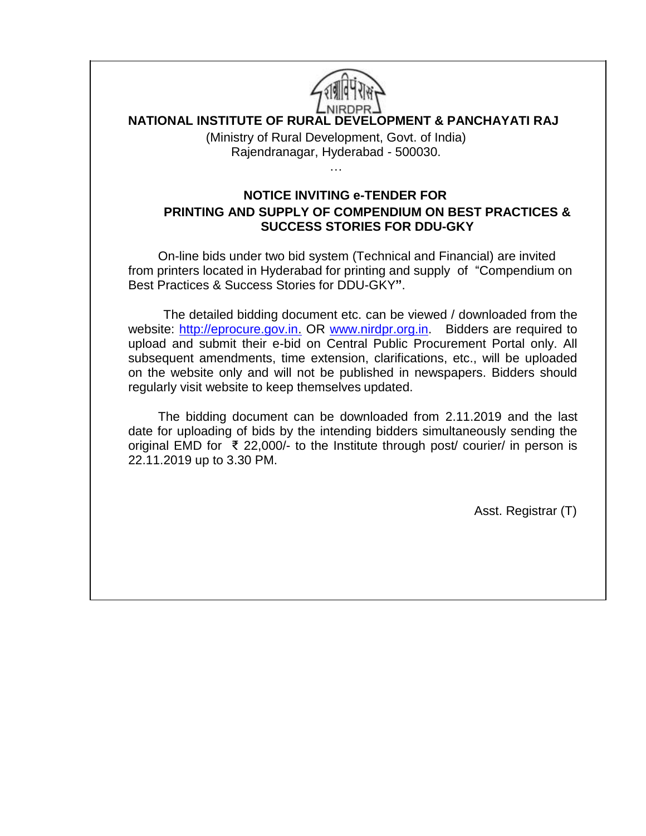

# **NATIONAL INSTITUTE OF RURAL DEVELOPMENT & PANCHAYATI RAJ**

(Ministry of Rural Development, Govt. of India) Rajendranagar, Hyderabad - 500030.

…

**NOTICE INVITING e-TENDER FOR PRINTING AND SUPPLY OF COMPENDIUM ON BEST PRACTICES & SUCCESS STORIES FOR DDU-GKY**

On-line bids under two bid system (Technical and Financial) are invited from printers located in Hyderabad for printing and supply of "Compendium on Best Practices & Success Stories for DDU-GKY**"**.

 The detailed bidding document etc. can be viewed / downloaded from the website: [http://eprocure.gov.in.](http://eprocure.gov.in/) OR [www.nirdpr.org.in.](http://www.nirdpr.org.in/) Bidders are required to upload and submit their e-bid on Central Public Procurement Portal only. All subsequent amendments, time extension, clarifications, etc., will be uploaded on the website only and will not be published in newspapers. Bidders should regularly visit website to keep themselves updated.

The bidding document can be downloaded from 2.11.2019 and the last date for uploading of bids by the intending bidders simultaneously sending the original EMD for ₹ 22,000/- to the Institute through post/ courier/ in person is 22.11.2019 up to 3.30 PM.

Asst. Registrar (T)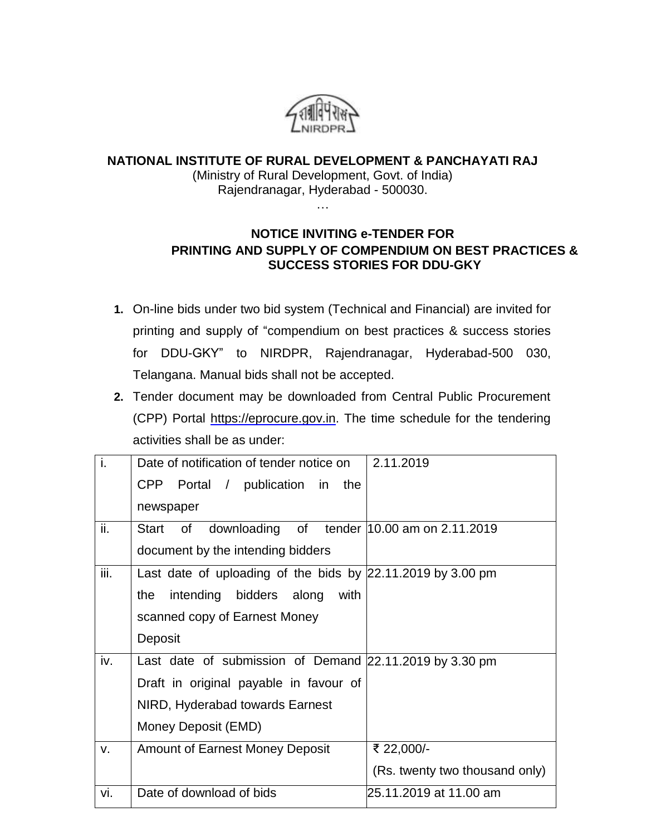

#### **NATIONAL INSTITUTE OF RURAL DEVELOPMENT & PANCHAYATI RAJ** (Ministry of Rural Development, Govt. of India) Rajendranagar, Hyderabad - 500030.

…

# **NOTICE INVITING e-TENDER FOR PRINTING AND SUPPLY OF COMPENDIUM ON BEST PRACTICES & SUCCESS STORIES FOR DDU-GKY**

- **1.** On-line bids under two bid system (Technical and Financial) are invited for printing and supply of "compendium on best practices & success stories for DDU-GKY" to NIRDPR, Rajendranagar, Hyderabad-500 030, Telangana. Manual bids shall not be accepted.
- **2.** Tender document may be downloaded from Central Public Procurement (CPP) Portal [https://eprocure.gov.in.](https://eprocure.gov.in/) The time schedule for the tendering activities shall be as under:

| i.   | Date of notification of tender notice on                    | 2.11.2019                      |
|------|-------------------------------------------------------------|--------------------------------|
|      | CPP Portal / publication in the                             |                                |
|      | newspaper                                                   |                                |
| ii.  | downloading of tender 10.00 am on 2.11.2019<br>Start<br>of  |                                |
|      | document by the intending bidders                           |                                |
| iii. | Last date of uploading of the bids by 22.11.2019 by 3.00 pm |                                |
|      | intending bidders along<br>with<br>the                      |                                |
|      | scanned copy of Earnest Money                               |                                |
|      | Deposit                                                     |                                |
| iv.  | Last date of submission of Demand 22.11.2019 by 3.30 pm     |                                |
|      | Draft in original payable in favour of                      |                                |
|      | NIRD, Hyderabad towards Earnest                             |                                |
|      | Money Deposit (EMD)                                         |                                |
| V.   | <b>Amount of Earnest Money Deposit</b>                      | ₹ 22,000/-                     |
|      |                                                             | (Rs. twenty two thousand only) |
| vi.  | Date of download of bids                                    | 25.11.2019 at 11.00 am         |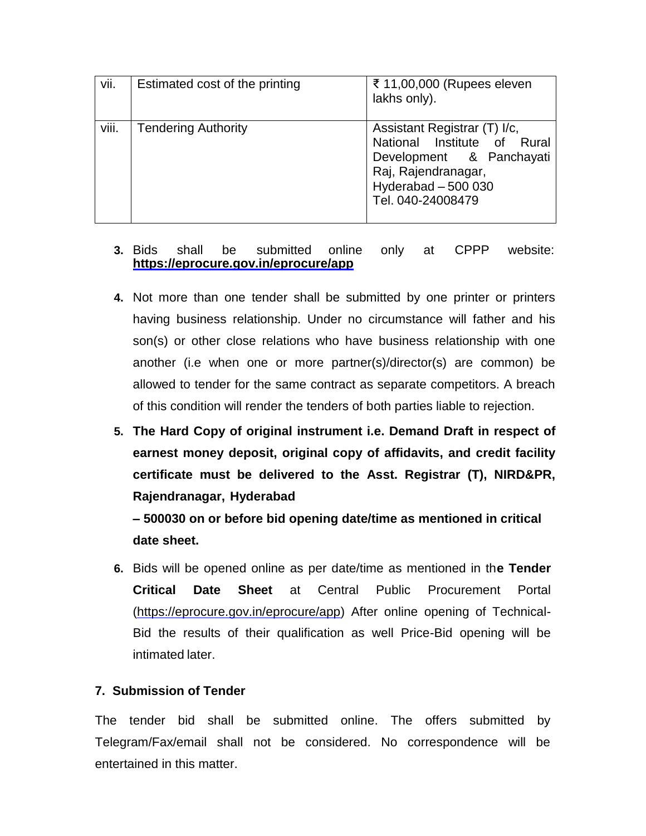| vii.  | Estimated cost of the printing | ₹ 11,00,000 (Rupees eleven<br>lakhs only).                                                                                                                  |
|-------|--------------------------------|-------------------------------------------------------------------------------------------------------------------------------------------------------------|
| viii. | <b>Tendering Authority</b>     | Assistant Registrar (T) I/c,<br>National Institute of Rural<br>Development & Panchayati<br>Raj, Rajendranagar,<br>Hyderabad $-500$ 030<br>Tel. 040-24008479 |

## **3.** Bids shall be submitted online only at CPPP website: **<https://eprocure.gov.in/eprocure/app>**

- **4.** Not more than one tender shall be submitted by one printer or printers having business relationship. Under no circumstance will father and his son(s) or other close relations who have business relationship with one another (i.e when one or more partner(s)/director(s) are common) be allowed to tender for the same contract as separate competitors. A breach of this condition will render the tenders of both parties liable to rejection.
- **5. The Hard Copy of original instrument i.e. Demand Draft in respect of earnest money deposit, original copy of affidavits, and credit facility certificate must be delivered to the Asst. Registrar (T), NIRD&PR, Rajendranagar, Hyderabad**

**– 500030 on or before bid opening date/time as mentioned in critical date sheet.**

**6.** Bids will be opened online as per date/time as mentioned in th**e Tender Critical Date Sheet** at Central Public Procurement Portal [\(https://eprocure.gov.in/eprocure/app\)](https://eprocure.gov.in/eprocure/app) After online opening of Technical-Bid the results of their qualification as well Price-Bid opening will be intimated later.

# **7. Submission of Tender**

The tender bid shall be submitted online. The offers submitted by Telegram/Fax/email shall not be considered. No correspondence will be entertained in this matter.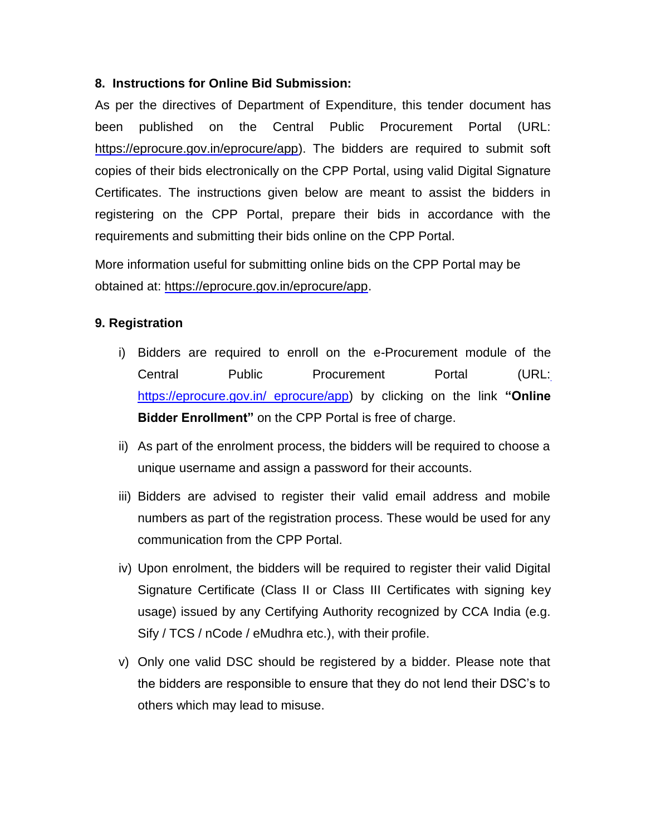## **8. Instructions for Online Bid Submission:**

As per the directives of Department of Expenditure, this tender document has been published on the Central Public Procurement Portal (URL: [https://eprocure.gov.in/eprocure/app\)](https://eprocure.gov.in/eprocure/app). The bidders are required to submit soft copies of their bids electronically on the CPP Portal, using valid Digital Signature Certificates. The instructions given below are meant to assist the bidders in registering on the CPP Portal, prepare their bids in accordance with the requirements and submitting their bids online on the CPP Portal.

More information useful for submitting online bids on the CPP Portal may be obtained at: [https://eprocure.gov.in/eprocure/app.](https://eprocure.gov.in/eprocure/app)

## **9. Registration**

- i) Bidders are required to enroll on the e-Procurement module of the Central Public Procurement Portal (URL[:](https://eprocure.gov.in/%20eprocure/app) [https://eprocure.gov.in/ eprocure/app\)](https://eprocure.gov.in/%20eprocure/app) by clicking on the link **"Online Bidder Enrollment"** on the CPP Portal is free of charge.
- ii) As part of the enrolment process, the bidders will be required to choose a unique username and assign a password for their accounts.
- iii) Bidders are advised to register their valid email address and mobile numbers as part of the registration process. These would be used for any communication from the CPP Portal.
- iv) Upon enrolment, the bidders will be required to register their valid Digital Signature Certificate (Class II or Class III Certificates with signing key usage) issued by any Certifying Authority recognized by CCA India (e.g. Sify / TCS / nCode / eMudhra etc.), with their profile.
- v) Only one valid DSC should be registered by a bidder. Please note that the bidders are responsible to ensure that they do not lend their DSC's to others which may lead to misuse.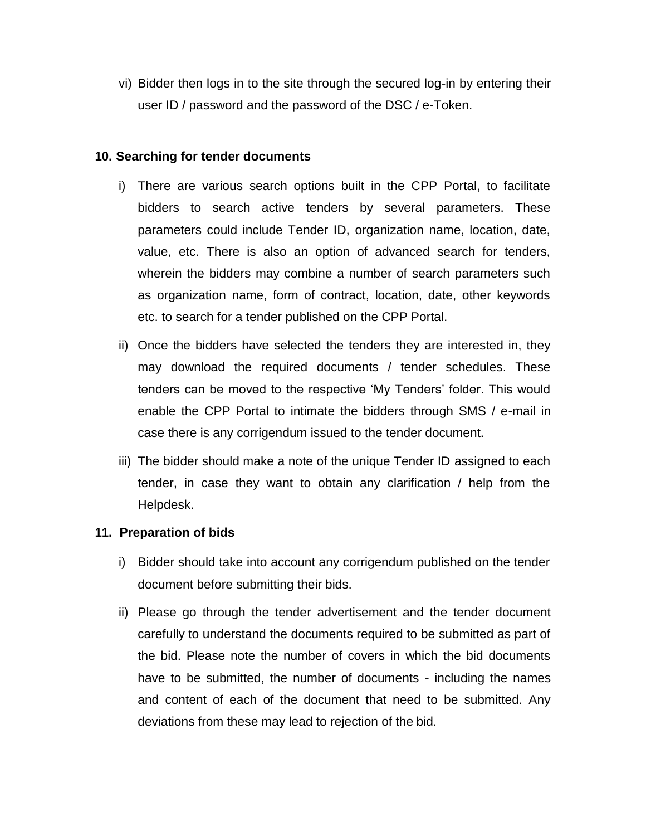vi) Bidder then logs in to the site through the secured log-in by entering their user ID / password and the password of the DSC / e-Token.

### **10. Searching for tender documents**

- i) There are various search options built in the CPP Portal, to facilitate bidders to search active tenders by several parameters. These parameters could include Tender ID, organization name, location, date, value, etc. There is also an option of advanced search for tenders, wherein the bidders may combine a number of search parameters such as organization name, form of contract, location, date, other keywords etc. to search for a tender published on the CPP Portal.
- ii) Once the bidders have selected the tenders they are interested in, they may download the required documents / tender schedules. These tenders can be moved to the respective 'My Tenders' folder. This would enable the CPP Portal to intimate the bidders through SMS / e-mail in case there is any corrigendum issued to the tender document.
- iii) The bidder should make a note of the unique Tender ID assigned to each tender, in case they want to obtain any clarification / help from the Helpdesk.

# **11. Preparation of bids**

- i) Bidder should take into account any corrigendum published on the tender document before submitting their bids.
- ii) Please go through the tender advertisement and the tender document carefully to understand the documents required to be submitted as part of the bid. Please note the number of covers in which the bid documents have to be submitted, the number of documents - including the names and content of each of the document that need to be submitted. Any deviations from these may lead to rejection of the bid.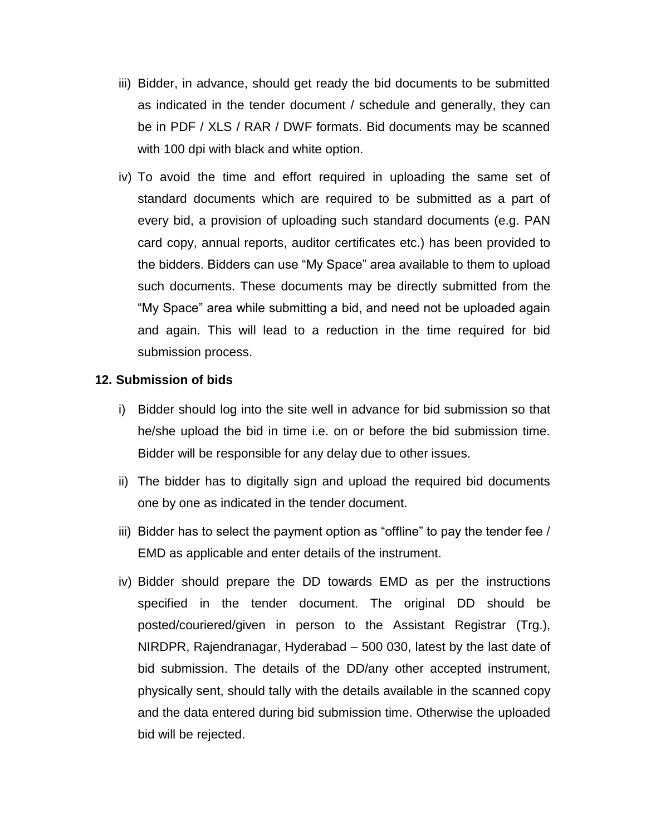- iii) Bidder, in advance, should get ready the bid documents to be submitted as indicated in the tender document / schedule and generally, they can be in PDF / XLS / RAR / DWF formats. Bid documents may be scanned with 100 dpi with black and white option.
- iv) To avoid the time and effort required in uploading the same set of standard documents which are required to be submitted as a part of every bid, a provision of uploading such standard documents (e.g. PAN card copy, annual reports, auditor certificates etc.) has been provided to the bidders. Bidders can use "My Space" area available to them to upload such documents. These documents may be directly submitted from the "My Space" area while submitting a bid, and need not be uploaded again and again. This will lead to a reduction in the time required for bid submission process.

## **12. Submission of bids**

- i) Bidder should log into the site well in advance for bid submission so that he/she upload the bid in time i.e. on or before the bid submission time. Bidder will be responsible for any delay due to other issues.
- ii) The bidder has to digitally sign and upload the required bid documents one by one as indicated in the tender document.
- iii) Bidder has to select the payment option as "offline" to pay the tender fee / EMD as applicable and enter details of the instrument.
- iv) Bidder should prepare the DD towards EMD as per the instructions specified in the tender document. The original DD should be posted/couriered/given in person to the Assistant Registrar (Trg.), NIRDPR, Rajendranagar, Hyderabad – 500 030, latest by the last date of bid submission. The details of the DD/any other accepted instrument, physically sent, should tally with the details available in the scanned copy and the data entered during bid submission time. Otherwise the uploaded bid will be rejected.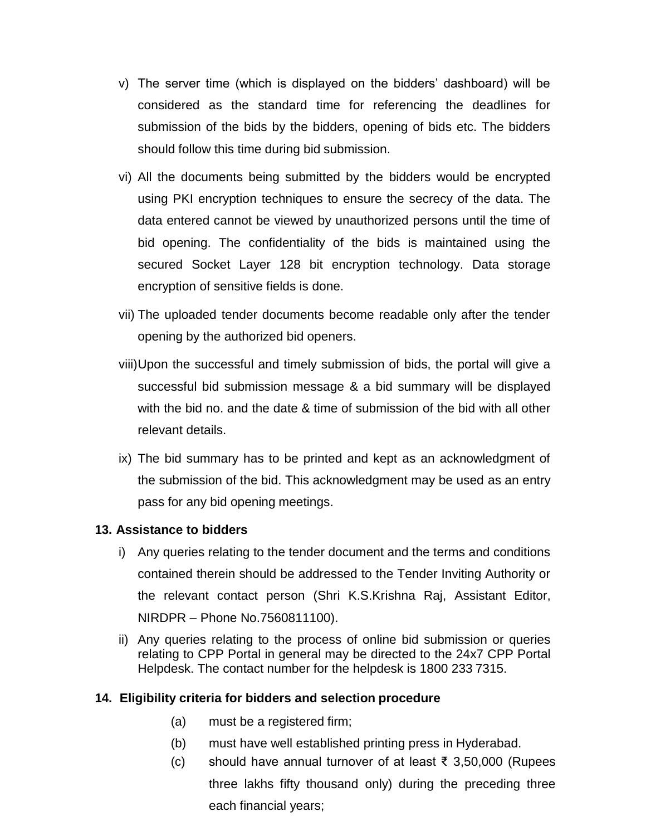- v) The server time (which is displayed on the bidders' dashboard) will be considered as the standard time for referencing the deadlines for submission of the bids by the bidders, opening of bids etc. The bidders should follow this time during bid submission.
- vi) All the documents being submitted by the bidders would be encrypted using PKI encryption techniques to ensure the secrecy of the data. The data entered cannot be viewed by unauthorized persons until the time of bid opening. The confidentiality of the bids is maintained using the secured Socket Layer 128 bit encryption technology. Data storage encryption of sensitive fields is done.
- vii) The uploaded tender documents become readable only after the tender opening by the authorized bid openers.
- viii)Upon the successful and timely submission of bids, the portal will give a successful bid submission message & a bid summary will be displayed with the bid no. and the date & time of submission of the bid with all other relevant details.
- ix) The bid summary has to be printed and kept as an acknowledgment of the submission of the bid. This acknowledgment may be used as an entry pass for any bid opening meetings.

### **13. Assistance to bidders**

- i) Any queries relating to the tender document and the terms and conditions contained therein should be addressed to the Tender Inviting Authority or the relevant contact person (Shri K.S.Krishna Raj, Assistant Editor, NIRDPR – Phone No.7560811100).
- ii) Any queries relating to the process of online bid submission or queries relating to CPP Portal in general may be directed to the 24x7 CPP Portal Helpdesk. The contact number for the helpdesk is 1800 233 7315.

### **14. Eligibility criteria for bidders and selection procedure**

- (a) must be a registered firm;
- (b) must have well established printing press in Hyderabad.
- (c) should have annual turnover of at least ₹ 3,50,000 (Rupees three lakhs fifty thousand only) during the preceding three each financial years;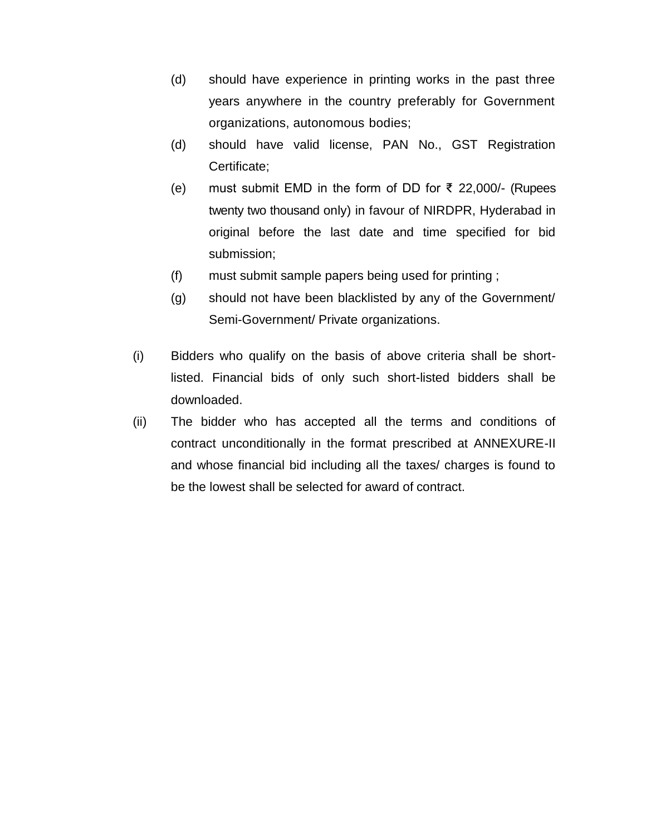- (d) should have experience in printing works in the past three years anywhere in the country preferably for Government organizations, autonomous bodies;
- (d) should have valid license, PAN No., GST Registration Certificate;
- (e) must submit EMD in the form of DD for ₹ 22,000/- (Rupees twenty two thousand only) in favour of NIRDPR, Hyderabad in original before the last date and time specified for bid submission;
- (f) must submit sample papers being used for printing ;
- (g) should not have been blacklisted by any of the Government/ Semi-Government/ Private organizations.
- (i) Bidders who qualify on the basis of above criteria shall be shortlisted. Financial bids of only such short-listed bidders shall be downloaded.
- (ii) The bidder who has accepted all the terms and conditions of contract unconditionally in the format prescribed at ANNEXURE-II and whose financial bid including all the taxes/ charges is found to be the lowest shall be selected for award of contract.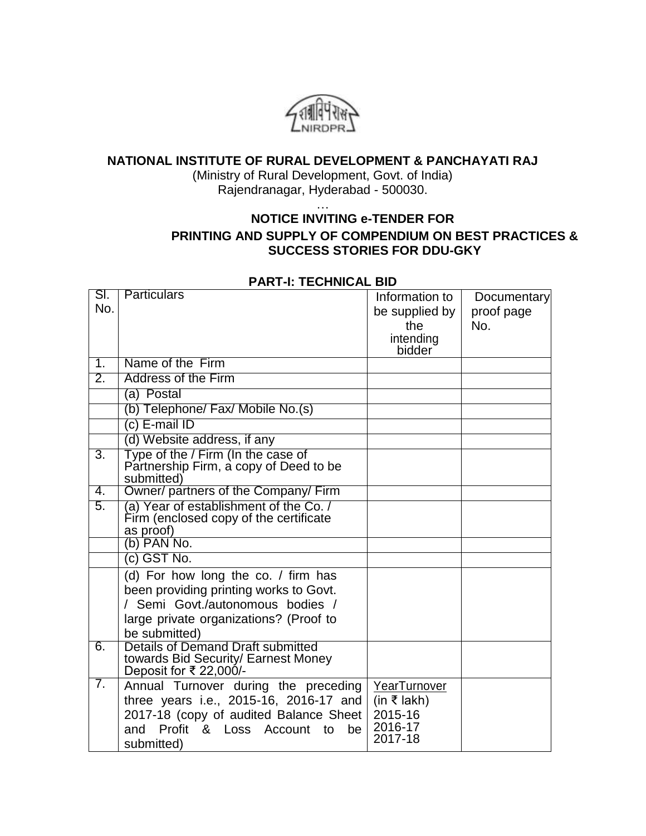

## **NATIONAL INSTITUTE OF RURAL DEVELOPMENT & PANCHAYATI RAJ**

(Ministry of Rural Development, Govt. of India) Rajendranagar, Hyderabad - 500030.

…

# **NOTICE INVITING e-TENDER FOR PRINTING AND SUPPLY OF COMPENDIUM ON BEST PRACTICES & SUCCESS STORIES FOR DDU-GKY**

| SI.<br>No.       | <b>Particulars</b>                                                         | Information to     | <b>Documentary</b> |
|------------------|----------------------------------------------------------------------------|--------------------|--------------------|
|                  |                                                                            | be supplied by     | proof page         |
|                  |                                                                            | the<br>intending   | No.                |
|                  |                                                                            | bidder             |                    |
| 1.               | Name of the Firm                                                           |                    |                    |
| $\overline{2}$ . | <b>Address of the Firm</b>                                                 |                    |                    |
|                  | (a) Postal                                                                 |                    |                    |
|                  | (b) Telephone/ Fax/ Mobile No.(s)                                          |                    |                    |
|                  | c) E-mail ID                                                               |                    |                    |
|                  | (d) Website address, if any                                                |                    |                    |
| 3.               | Type of the / Firm (In the case of                                         |                    |                    |
|                  | Partnership Firm, a copy of Deed to be<br>submitted)                       |                    |                    |
| 4.               | Owner/ partners of the Company/ Firm                                       |                    |                    |
| 5.               | (a) Year of establishment of the Co./                                      |                    |                    |
|                  | Firm (enclosed copy of the certificate                                     |                    |                    |
|                  | as proof)<br>(b) PAN No.                                                   |                    |                    |
|                  | (c) GST No.                                                                |                    |                    |
|                  |                                                                            |                    |                    |
|                  | (d) For how long the co. / firm has                                        |                    |                    |
|                  | been providing printing works to Govt.<br>/ Semi Govt./autonomous bodies / |                    |                    |
|                  | large private organizations? (Proof to                                     |                    |                    |
|                  | be submitted)                                                              |                    |                    |
| 6.               | Details of Demand Draft submitted                                          |                    |                    |
|                  | towards Bid Security/ Earnest Money                                        |                    |                    |
|                  | Deposit for ₹ 22,000/-                                                     |                    |                    |
| 7.               | Annual Turnover during the preceding                                       | YearTurnover       |                    |
|                  | three years i.e., 2015-16, 2016-17 and                                     | (in ₹ lakh)        |                    |
|                  | 2017-18 (copy of audited Balance Sheet                                     | 2015-16            |                    |
|                  | Profit & Loss Account to<br>be<br>and                                      | 2016-17<br>2017-18 |                    |
|                  | submitted)                                                                 |                    |                    |

## **PART-I: TECHNICAL BID**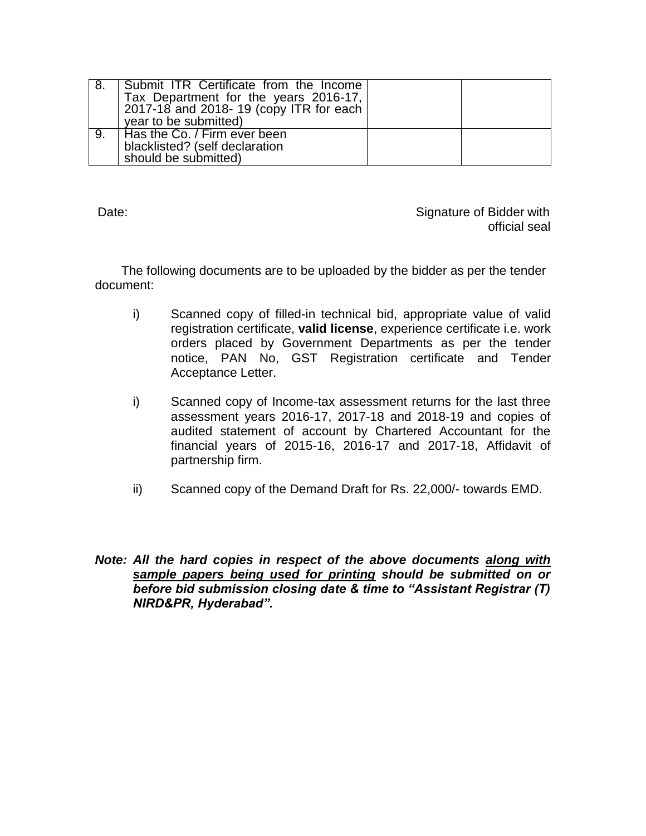| Submit ITR Certificate from the Income<br>Tax Department for the years 2016-17,<br>2017-18 and 2018-19 (copy ITR for each<br>year to be submitted) |  |
|----------------------------------------------------------------------------------------------------------------------------------------------------|--|
| Has the Co. / Firm ever been<br>blacklisted? (self declaration<br>should be submitted)                                                             |  |

Date: Case of Bidder with the Signature of Bidder with  $\sim$  Signature of Bidder with official seal

The following documents are to be uploaded by the bidder as per the tender document:

- i) Scanned copy of filled-in technical bid, appropriate value of valid registration certificate, **valid license**, experience certificate i.e. work orders placed by Government Departments as per the tender notice, PAN No, GST Registration certificate and Tender Acceptance Letter.
- i) Scanned copy of Income-tax assessment returns for the last three assessment years 2016-17, 2017-18 and 2018-19 and copies of audited statement of account by Chartered Accountant for the financial years of 2015-16, 2016-17 and 2017-18, Affidavit of partnership firm.
- ii) Scanned copy of the Demand Draft for Rs. 22,000/- towards EMD.
- *Note: All the hard copies in respect of the above documents along with sample papers being used for printing should be submitted on or before bid submission closing date & time to "Assistant Registrar (T) NIRD&PR, Hyderabad".*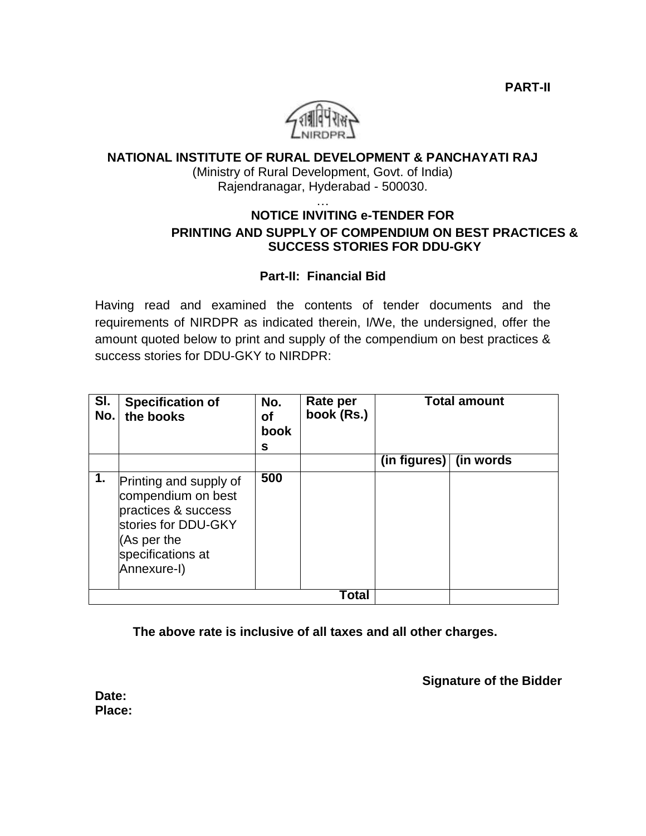**PART-II**



# **NATIONAL INSTITUTE OF RURAL DEVELOPMENT & PANCHAYATI RAJ**

(Ministry of Rural Development, Govt. of India) Rajendranagar, Hyderabad - 500030.

### … **NOTICE INVITING e-TENDER FOR PRINTING AND SUPPLY OF COMPENDIUM ON BEST PRACTICES & SUCCESS STORIES FOR DDU-GKY**

## **Part-II: Financial Bid**

Having read and examined the contents of tender documents and the requirements of NIRDPR as indicated therein, I/We, the undersigned, offer the amount quoted below to print and supply of the compendium on best practices & success stories for DDU-GKY to NIRDPR:

| SI.<br>No. | <b>Specification of</b><br>the books                                                                                                          | No.<br>οf<br>book<br>s | Rate per<br>book (Rs.) | <b>Total amount</b>    |  |
|------------|-----------------------------------------------------------------------------------------------------------------------------------------------|------------------------|------------------------|------------------------|--|
|            |                                                                                                                                               |                        |                        | (in figures) (in words |  |
| 1.         | Printing and supply of<br>compendium on best<br>practices & success<br>stories for DDU-GKY<br>(As per the<br>specifications at<br>Annexure-I) | 500                    |                        |                        |  |
|            | Total                                                                                                                                         |                        |                        |                        |  |

**The above rate is inclusive of all taxes and all other charges.**

**Signature of the Bidder**

**Date: Place:**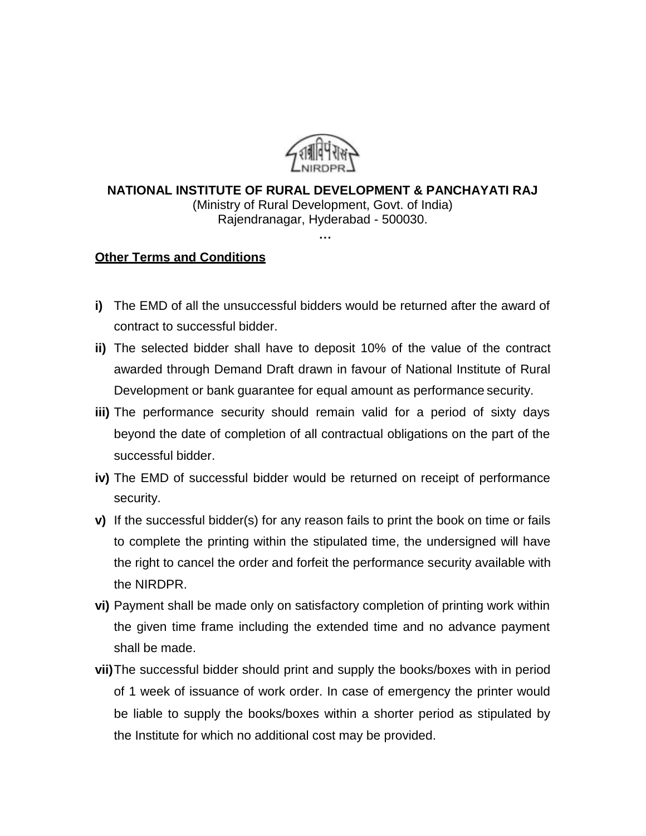

### **NATIONAL INSTITUTE OF RURAL DEVELOPMENT & PANCHAYATI RAJ** (Ministry of Rural Development, Govt. of India) Rajendranagar, Hyderabad - 500030. **…**

### **Other Terms and Conditions**

- **i)** The EMD of all the unsuccessful bidders would be returned after the award of contract to successful bidder.
- **ii)** The selected bidder shall have to deposit 10% of the value of the contract awarded through Demand Draft drawn in favour of National Institute of Rural Development or bank guarantee for equal amount as performance security.
- **iii)** The performance security should remain valid for a period of sixty days beyond the date of completion of all contractual obligations on the part of the successful bidder.
- **iv)** The EMD of successful bidder would be returned on receipt of performance security.
- **v)** If the successful bidder(s) for any reason fails to print the book on time or fails to complete the printing within the stipulated time, the undersigned will have the right to cancel the order and forfeit the performance security available with the NIRDPR.
- **vi)** Payment shall be made only on satisfactory completion of printing work within the given time frame including the extended time and no advance payment shall be made.
- **vii)**The successful bidder should print and supply the books/boxes with in period of 1 week of issuance of work order. In case of emergency the printer would be liable to supply the books/boxes within a shorter period as stipulated by the Institute for which no additional cost may be provided.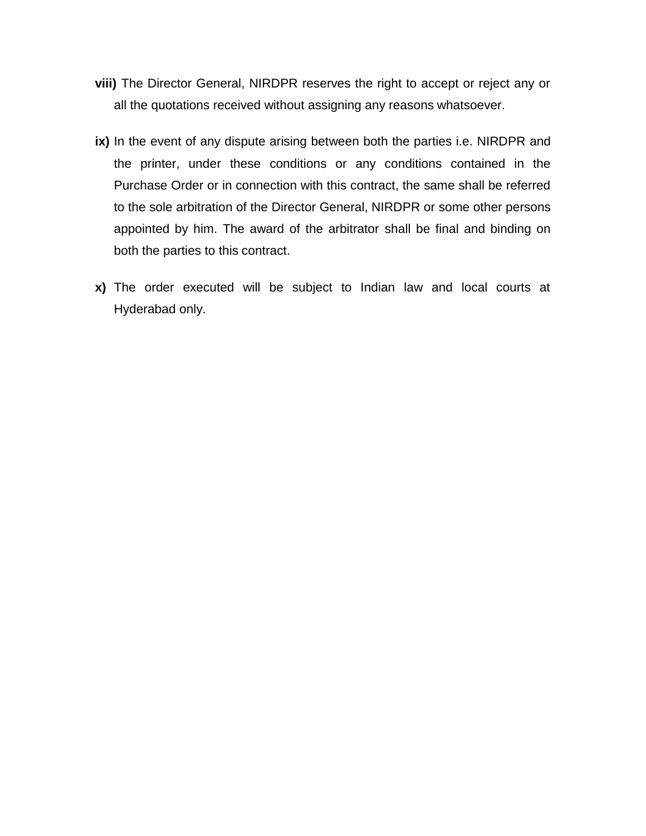- **viii)** The Director General, NIRDPR reserves the right to accept or reject any or all the quotations received without assigning any reasons whatsoever.
- **ix)** In the event of any dispute arising between both the parties i.e. NIRDPR and the printer, under these conditions or any conditions contained in the Purchase Order or in connection with this contract, the same shall be referred to the sole arbitration of the Director General, NIRDPR or some other persons appointed by him. The award of the arbitrator shall be final and binding on both the parties to this contract.
- **x)** The order executed will be subject to Indian law and local courts at Hyderabad only.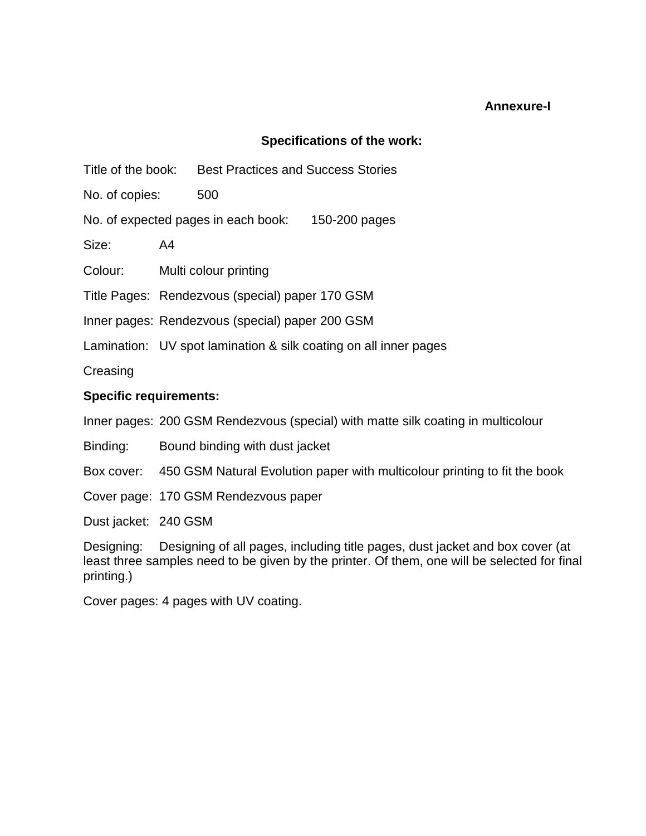### **Annexure-I**

## **Specifications of the work:**

Title of the book: Best Practices and Success Stories

No. of copies: 500

No. of expected pages in each book: 150-200 pages

Size: A4

Colour: Multi colour printing

Title Pages: Rendezvous (special) paper 170 GSM

Inner pages: Rendezvous (special) paper 200 GSM

Lamination: UV spot lamination & silk coating on all inner pages

**Creasing** 

## **Specific requirements:**

Inner pages: 200 GSM Rendezvous (special) with matte silk coating in multicolour

Binding: Bound binding with dust jacket

Box cover: 450 GSM Natural Evolution paper with multicolour printing to fit the book

Cover page: 170 GSM Rendezvous paper

Dust jacket: 240 GSM

Designing: Designing of all pages, including title pages, dust jacket and box cover (at least three samples need to be given by the printer. Of them, one will be selected for final printing.)

Cover pages: 4 pages with UV coating.